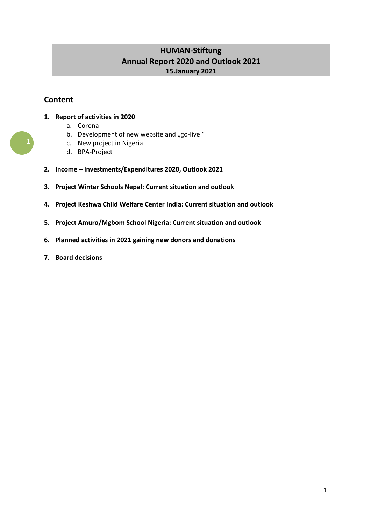# **HUMAN-Stiftung Annual Report 2020 and Outlook 2021 15.January 2021**

# **Content**

- **1. Report of activities in 2020**
	- a. Corona
	- b. Development of new website and "go-live"
	- c. New project in Nigeria
	- d. BPA-Project
- **2. Income – Investments/Expenditures 2020, Outlook 2021**
- **3. Project Winter Schools Nepal: Current situation and outlook**
- **4. Project Keshwa Child Welfare Center India: Current situation and outlook**
- **5. Project Amuro/Mgbom School Nigeria: Current situation and outlook**
- **6. Planned activities in 2021 gaining new donors and donations**
- **7. Board decisions**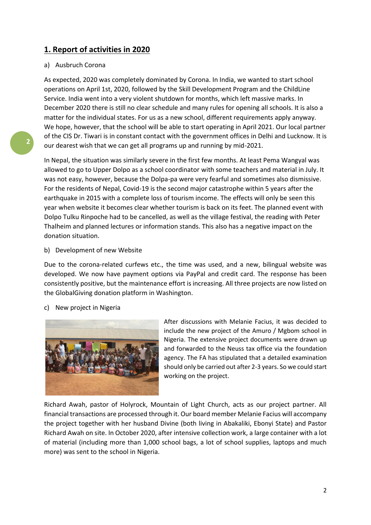## **1. Report of activities in 2020**

### a) Ausbruch Corona

As expected, 2020 was completely dominated by Corona. In India, we wanted to start school operations on April 1st, 2020, followed by the Skill Development Program and the ChildLine Service. India went into a very violent shutdown for months, which left massive marks. In December 2020 there is still no clear schedule and many rules for opening all schools. It is also a matter for the individual states. For us as a new school, different requirements apply anyway. We hope, however, that the school will be able to start operating in April 2021. Our local partner of the CIS Dr. Tiwari is in constant contact with the government offices in Delhi and Lucknow. It is our dearest wish that we can get all programs up and running by mid-2021.

In Nepal, the situation was similarly severe in the first few months. At least Pema Wangyal was allowed to go to Upper Dolpo as a school coordinator with some teachers and material in July. It was not easy, however, because the Dolpa-pa were very fearful and sometimes also dismissive. For the residents of Nepal, Covid-19 is the second major catastrophe within 5 years after the earthquake in 2015 with a complete loss of tourism income. The effects will only be seen this year when website it becomes clear whether tourism is back on its feet. The planned event with Dolpo Tulku Rinpoche had to be cancelled, as well as the village festival, the reading with Peter Thalheim and planned lectures or information stands. This also has a negative impact on the donation situation.

### b) Development of new Website

Due to the corona-related curfews etc., the time was used, and a new, bilingual website was developed. We now have payment options via PayPal and credit card. The response has been consistently positive, but the maintenance effort is increasing. All three projects are now listed on the GlobalGiving donation platform in Washington.

### c) New project in Nigeria



After discussions with Melanie Facius, it was decided to include the new project of the Amuro / Mgbom school in Nigeria. The extensive project documents were drawn up and forwarded to the Neuss tax office via the foundation agency. The FA has stipulated that a detailed examination should only be carried out after 2-3 years. So we could start working on the project.

Richard Awah, pastor of Holyrock, Mountain of Light Church, acts as our project partner. All financial transactions are processed through it. Our board member Melanie Facius will accompany the project together with her husband Divine (both living in Abakaliki, Ebonyi State) and Pastor Richard Awah on site. In October 2020, after intensive collection work, a large container with a lot of material (including more than 1,000 school bags, a lot of school supplies, laptops and much more) was sent to the school in Nigeria.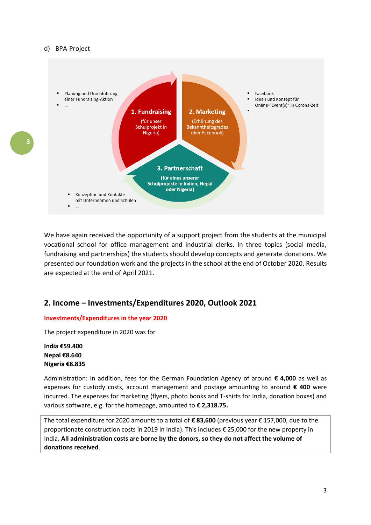

We have again received the opportunity of a support project from the students at the municipal vocational school for office management and industrial clerks. In three topics (social media, fundraising and partnerships) the students should develop concepts and generate donations. We presented our foundation work and the projects in the school at the end of October 2020. Results are expected at the end of April 2021.

### **2. Income – Investments/Expenditures 2020, Outlook 2021**

### **Investments/Expenditures in the year 2020**

The project expenditure in 2020 was for

**India €59.400 Nepal €8.640 Nigeria €8.835**

Administration: In addition, fees for the German Foundation Agency of around **€ 4,000** as well as expenses for custody costs, account management and postage amounting to around **€ 400** were incurred. The expenses for marketing (flyers, photo books and T-shirts for India, donation boxes) and various software, e.g. for the homepage, amounted to **€ 2,318.75.**

The total expenditure for 2020 amounts to a total of **€ 83,600** (previous year € 157,000, due to the proportionate construction costs in 2019 in India). This includes € 25,000 for the new property in India. **All administration costs are borne by the donors, so they do not affect the volume of donations received**.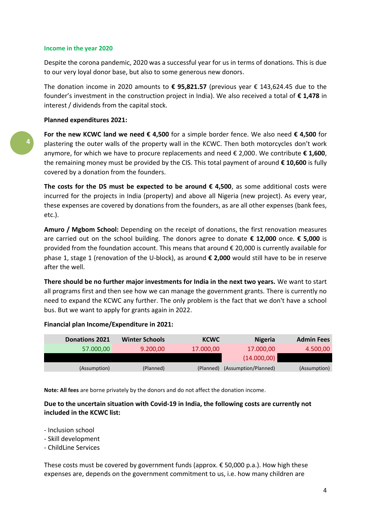#### **Income in the year 2020**

Despite the corona pandemic, 2020 was a successful year for us in terms of donations. This is due to our very loyal donor base, but also to some generous new donors.

The donation income in 2020 amounts to **€ 95,821.57** (previous year € 143,624.45 due to the founder's investment in the construction project in India). We also received a total of **€ 1,478** in interest / dividends from the capital stock.

### **Planned expenditures 2021:**

**For the new KCWC land we need € 4,500** for a simple border fence. We also need **€ 4,500** for plastering the outer walls of the property wall in the KCWC. Then both motorcycles don't work anymore, for which we have to procure replacements and need € 2,000. We contribute **€ 1,600**, the remaining money must be provided by the CIS. This total payment of around **€ 10,600** is fully covered by a donation from the founders.

The costs for the DS must be expected to be around  $\epsilon$  4,500, as some additional costs were incurred for the projects in India (property) and above all Nigeria (new project). As every year, these expenses are covered by donations from the founders, as are all other expenses (bank fees, etc.).

Amuro / Mgbom School: Depending on the receipt of donations, the first renovation measures are carried out on the school building. The donors agree to donate **€ 12,000** once. **€ 5,000** is provided from the foundation account. This means that around € 20,000 is currently available for phase 1, stage 1 (renovation of the U-block), as around **€ 2,000** would still have to be in reserve after the well.

**There should be no further major investments for India in the next two years.** We want to start all programs first and then see how we can manage the government grants. There is currently no need to expand the KCWC any further. The only problem is the fact that we don't have a school bus. But we want to apply for grants again in 2022.

| <b>Donations 2021</b> | <b>Winter Schools</b> | <b>KCWC</b> | <b>Nigeria</b>       | <b>Admin Fees</b> |
|-----------------------|-----------------------|-------------|----------------------|-------------------|
| 57.000,00             | 9.200,00              | 17.000,00   | 17.000,00            | 4.500,00          |
|                       |                       |             | (14.000, 00)         |                   |
| (Assumption)          | (Planned)             | (Planned)   | (Assumption/Planned) | (Assumption)      |
|                       |                       |             |                      |                   |

#### **Financial plan Income/Expenditure in 2021:**

**Note: All fees** are borne privately by the donors and do not affect the donation income.

### **Due to the uncertain situation with Covid-19 in India, the following costs are currently not included in the KCWC list:**

- Inclusion school
- Skill development
- ChildLine Services

These costs must be covered by government funds (approx.  $\epsilon$  50,000 p.a.). How high these expenses are, depends on the government commitment to us, i.e. how many children are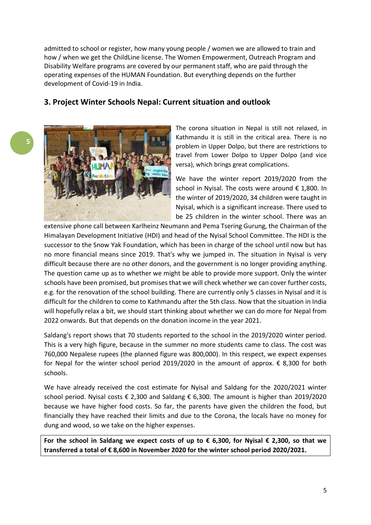admitted to school or register, how many young people / women we are allowed to train and how / when we get the ChildLine license. The Women Empowerment, Outreach Program and Disability Welfare programs are covered by our permanent staff, who are paid through the operating expenses of the HUMAN Foundation. But everything depends on the further development of Covid-19 in India.

## **3. Project Winter Schools Nepal: Current situation and outlook**



The corona situation in Nepal is still not relaxed, in Kathmandu it is still in the critical area. There is no problem in Upper Dolpo, but there are restrictions to travel from Lower Dolpo to Upper Dolpo (and vice versa), which brings great complications.

We have the winter report 2019/2020 from the school in Nyisal. The costs were around € 1,800. In the winter of 2019/2020, 34 children were taught in Nyisal, which is a significant increase. There used to be 25 children in the winter school. There was an

extensive phone call between Karlheinz Neumann and Pema Tsering Gurung, the Chairman of the Himalayan Development Initiative (HDI) and head of the Nyisal School Committee. The HDI is the successor to the Snow Yak Foundation, which has been in charge of the school until now but has no more financial means since 2019. That's why we jumped in. The situation in Nyisal is very difficult because there are no other donors, and the government is no longer providing anything. The question came up as to whether we might be able to provide more support. Only the winter schools have been promised, but promises that we will check whether we can cover further costs, e.g. for the renovation of the school building. There are currently only 5 classes in Nyisal and it is difficult for the children to come to Kathmandu after the 5th class. Now that the situation in India will hopefully relax a bit, we should start thinking about whether we can do more for Nepal from 2022 onwards. But that depends on the donation income in the year 2021.

Saldang's report shows that 70 students reported to the school in the 2019/2020 winter period. This is a very high figure, because in the summer no more students came to class. The cost was 760,000 Nepalese rupees (the planned figure was 800,000). In this respect, we expect expenses for Nepal for the winter school period 2019/2020 in the amount of approx. € 8,300 for both schools.

We have already received the cost estimate for Nyisal and Saldang for the 2020/2021 winter school period. Nyisal costs € 2,300 and Saldang € 6,300. The amount is higher than 2019/2020 because we have higher food costs. So far, the parents have given the children the food, but financially they have reached their limits and due to the Corona, the locals have no money for dung and wood, so we take on the higher expenses.

**For the school in Saldang we expect costs of up to € 6,300, for Nyisal € 2,300, so that we transferred a total of € 8,600 in November 2020 for the winter school period 2020/2021.**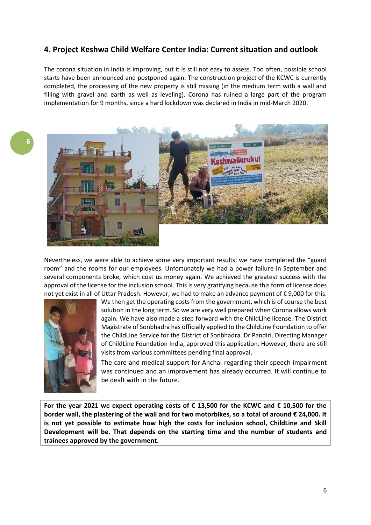## **4. Project Keshwa Child Welfare Center India: Current situation and outlook**

The corona situation in India is improving, but it is still not easy to assess. Too often, possible school starts have been announced and postponed again. The construction project of the KCWC is currently completed, the processing of the new property is still missing (in the medium term with a wall and filling with gravel and earth as well as leveling). Corona has ruined a large part of the program implementation for 9 months, since a hard lockdown was declared in India in mid-March 2020.



Nevertheless, we were able to achieve some very important results: we have completed the "guard room" and the rooms for our employees. Unfortunately we had a power failure in September and several components broke, which cost us money again. We achieved the greatest success with the approval of the license for the inclusion school. This is very gratifying because this form of license does not yet exist in all of Uttar Pradesh. However, we had to make an advance payment of € 9,000 for this.



We then get the operating costs from the government, which is of course the best solution in the long term. So we are very well prepared when Corona allows work again. We have also made a step forward with the ChildLine license. The District Magistrate of Sonbhadra has officially applied to the ChildLine Foundation to offer the ChildLine Service for the District of Sonbhadra. Dr Pandiri, Directing Manager of ChildLine Foundation India, approved this application. However, there are still visits from various committees pending final approval.

The care and medical support for Anchal regarding their speech impairment was continued and an improvement has already occurred. It will continue to be dealt with in the future.

**For the year 2021 we expect operating costs of € 13,500 for the KCWC and € 10,500 for the border wall, the plastering of the wall and for two motorbikes, so a total of around € 24,000. It is not yet possible to estimate how high the costs for inclusion school, ChildLine and Skill Development will be. That depends on the starting time and the number of students and trainees approved by the government.**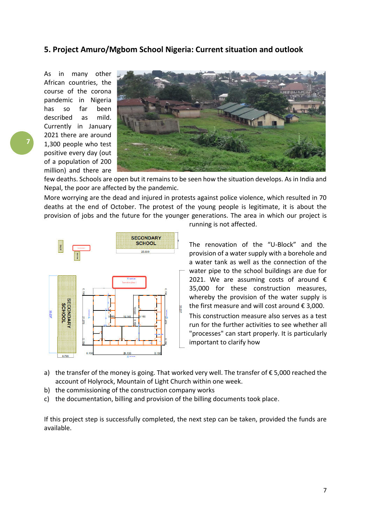### **5. Project Amuro/Mgbom School Nigeria: Current situation and outlook**

As in many other African countries, the course of the corona pandemic in Nigeria has so far been described as mild. Currently in January 2021 there are around 1,300 people who test positive every day (out of a population of 200 million) and there are



few deaths. Schools are open but it remains to be seen how the situation develops. As in India and Nepal, the poor are affected by the pandemic.

More worrying are the dead and injured in protests against police violence, which resulted in 70 deaths at the end of October. The protest of the young people is legitimate, it is about the provision of jobs and the future for the younger generations. The area in which our project is



running is not affected.

The renovation of the "U-Block" and the provision of a water supply with a borehole and a water tank as well as the connection of the water pipe to the school buildings are due for 2021. We are assuming costs of around  $\epsilon$ 35,000 for these construction measures, whereby the provision of the water supply is the first measure and will cost around  $\epsilon$  3,000.

This construction measure also serves as a test run for the further activities to see whether all "processes" can start properly. It is particularly important to clarify how

- a) the transfer of the money is going. That worked very well. The transfer of  $\epsilon$  5,000 reached the account of Holyrock, Mountain of Light Church within one week.
- b) the commissioning of the construction company works
- c) the documentation, billing and provision of the billing documents took place.

If this project step is successfully completed, the next step can be taken, provided the funds are available.